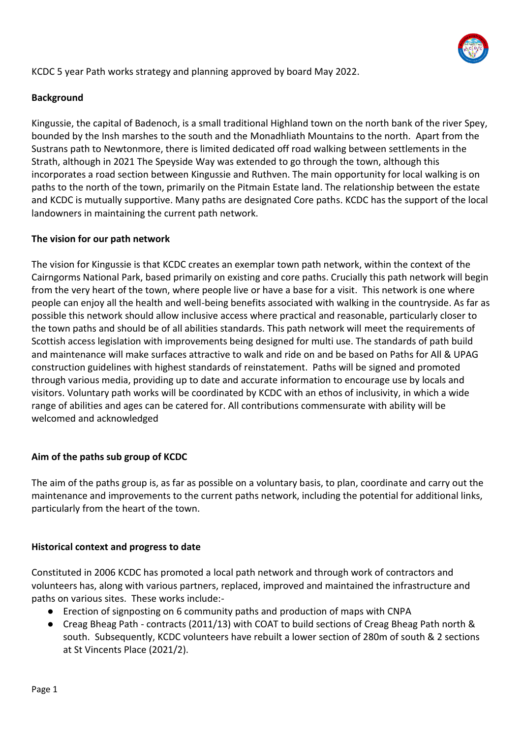

#### KCDC 5 year Path works strategy and planning approved by board May 2022.

#### **Background**

Kingussie, the capital of Badenoch, is a small traditional Highland town on the north bank of the river Spey, bounded by the Insh marshes to the south and the Monadhliath Mountains to the north. Apart from the Sustrans path to Newtonmore, there is limited dedicated off road walking between settlements in the Strath, although in 2021 The Speyside Way was extended to go through the town, although this incorporates a road section between Kingussie and Ruthven. The main opportunity for local walking is on paths to the north of the town, primarily on the Pitmain Estate land. The relationship between the estate and KCDC is mutually supportive. Many paths are designated Core paths. KCDC has the support of the local landowners in maintaining the current path network.

#### **The vision for our path network**

The vision for Kingussie is that KCDC creates an exemplar town path network, within the context of the Cairngorms National Park, based primarily on existing and core paths. Crucially this path network will begin from the very heart of the town, where people live or have a base for a visit. This network is one where people can enjoy all the health and well-being benefits associated with walking in the countryside. As far as possible this network should allow inclusive access where practical and reasonable, particularly closer to the town paths and should be of all abilities standards. This path network will meet the requirements of Scottish access legislation with improvements being designed for multi use. The standards of path build and maintenance will make surfaces attractive to walk and ride on and be based on Paths for All & UPAG construction guidelines with highest standards of reinstatement. Paths will be signed and promoted through various media, providing up to date and accurate information to encourage use by locals and visitors. Voluntary path works will be coordinated by KCDC with an ethos of inclusivity, in which a wide range of abilities and ages can be catered for. All contributions commensurate with ability will be welcomed and acknowledged

#### **Aim of the paths sub group of KCDC**

The aim of the paths group is, as far as possible on a voluntary basis, to plan, coordinate and carry out the maintenance and improvements to the current paths network, including the potential for additional links, particularly from the heart of the town.

#### **Historical context and progress to date**

Constituted in 2006 KCDC has promoted a local path network and through work of contractors and volunteers has, along with various partners, replaced, improved and maintained the infrastructure and paths on various sites. These works include:-

- Erection of signposting on 6 community paths and production of maps with CNPA
- Creag Bheag Path contracts (2011/13) with COAT to build sections of Creag Bheag Path north & south. Subsequently, KCDC volunteers have rebuilt a lower section of 280m of south & 2 sections at St Vincents Place (2021/2).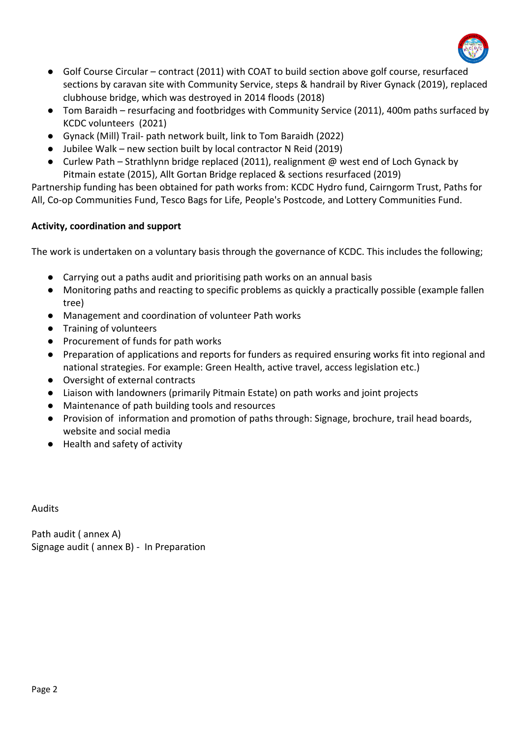

- Golf Course Circular contract (2011) with COAT to build section above golf course, resurfaced sections by caravan site with Community Service, steps & handrail by River Gynack (2019), replaced clubhouse bridge, which was destroyed in 2014 floods (2018)
- Tom Baraidh resurfacing and footbridges with Community Service (2011), 400m paths surfaced by KCDC volunteers (2021)
- Gynack (Mill) Trail- path network built, link to Tom Baraidh (2022)
- Jubilee Walk new section built by local contractor N Reid (2019)
- Curlew Path Strathlynn bridge replaced (2011), realignment  $\omega$  west end of Loch Gynack by Pitmain estate (2015), Allt Gortan Bridge replaced & sections resurfaced (2019)

Partnership funding has been obtained for path works from: KCDC Hydro fund, Cairngorm Trust, Paths for All, Co-op Communities Fund, Tesco Bags for Life, People's Postcode, and Lottery Communities Fund.

#### **Activity, coordination and support**

The work is undertaken on a voluntary basis through the governance of KCDC. This includes the following;

- Carrying out a paths audit and prioritising path works on an annual basis
- Monitoring paths and reacting to specific problems as quickly a practically possible (example fallen tree)
- Management and coordination of volunteer Path works
- Training of volunteers
- Procurement of funds for path works
- Preparation of applications and reports for funders as required ensuring works fit into regional and national strategies. For example: Green Health, active travel, access legislation etc.)
- Oversight of external contracts
- Liaison with landowners (primarily Pitmain Estate) on path works and joint projects
- Maintenance of path building tools and resources
- Provision of information and promotion of paths through: Signage, brochure, trail head boards, website and social media
- Health and safety of activity

Audits

Path audit ( annex A) Signage audit ( annex B) - In Preparation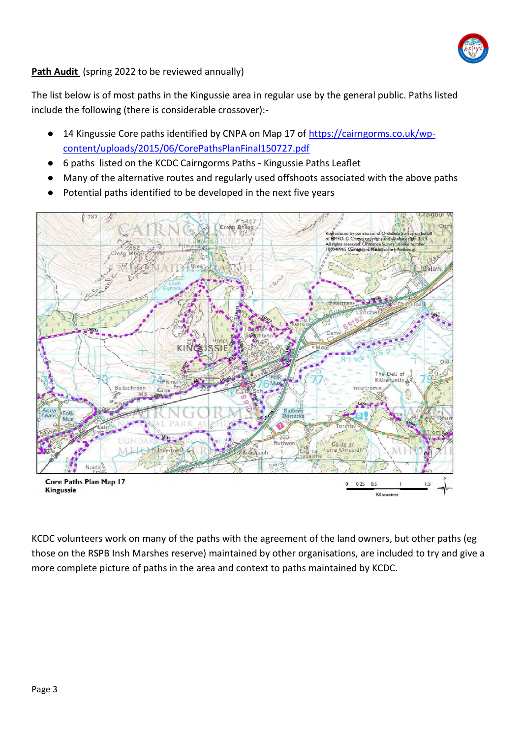

#### **Path Audit** (spring 2022 to be reviewed annually)

The list below is of most paths in the Kingussie area in regular use by the general public. Paths listed include the following (there is considerable crossover):-

- 14 Kingussie Core paths identified by CNPA on Map 17 of [https://cairngorms.co.uk/wp](https://cairngorms.co.uk/wp-content/uploads/2015/06/CorePathsPlanFinal150727.pdf)[content/uploads/2015/06/CorePathsPlanFinal150727.pdf](https://cairngorms.co.uk/wp-content/uploads/2015/06/CorePathsPlanFinal150727.pdf)
- 6 paths listed on the KCDC Cairngorms Paths Kingussie Paths Leaflet
- Many of the alternative routes and regularly used offshoots associated with the above paths
- Potential paths identified to be developed in the next five years



KCDC volunteers work on many of the paths with the agreement of the land owners, but other paths (eg those on the RSPB Insh Marshes reserve) maintained by other organisations, are included to try and give a more complete picture of paths in the area and context to paths maintained by KCDC.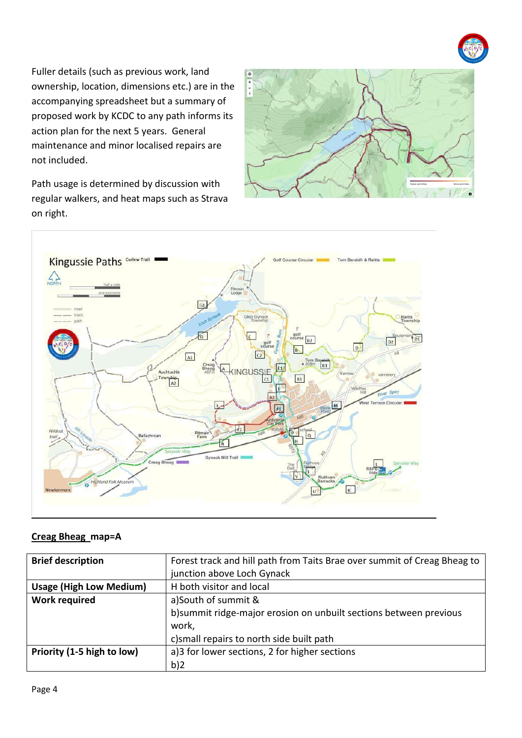

Fuller details (such as previous work, land ownership, location, dimensions etc.) are in the accompanying spreadsheet but a summary of proposed work by KCDC to any path informs its action plan for the next 5 years. General maintenance and minor localised repairs are not included.

Path usage is determined by discussion with regular walkers, and heat maps such as Strava on right.





#### **Creag Bheag map=A**

| <b>Brief description</b>       | Forest track and hill path from Taits Brae over summit of Creag Bheag to |  |  |  |
|--------------------------------|--------------------------------------------------------------------------|--|--|--|
|                                | junction above Loch Gynack                                               |  |  |  |
| <b>Usage (High Low Medium)</b> | H both visitor and local                                                 |  |  |  |
| <b>Work required</b>           | a)South of summit &                                                      |  |  |  |
|                                | b)summit ridge-major erosion on unbuilt sections between previous        |  |  |  |
|                                | work,                                                                    |  |  |  |
|                                | c) small repairs to north side built path                                |  |  |  |
| Priority (1-5 high to low)     | a)3 for lower sections, 2 for higher sections                            |  |  |  |
|                                | b)2                                                                      |  |  |  |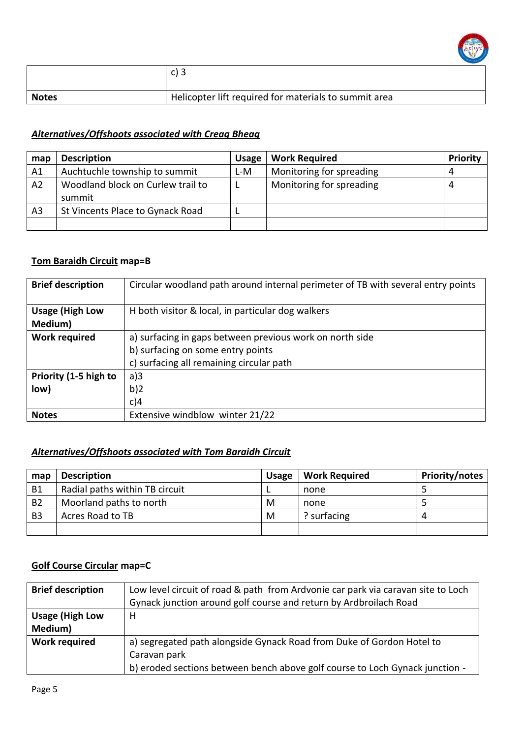

|              | $\sim$ 2                                              |
|--------------|-------------------------------------------------------|
| <b>Notes</b> | Helicopter lift required for materials to summit area |

### *Alternatives/Offshoots associated with Creag Bheag*

| map            | <b>Description</b>                          | <b>Usage</b> | <b>Work Required</b>     | Priority |
|----------------|---------------------------------------------|--------------|--------------------------|----------|
| A1             | Auchtuchle township to summit               | L-M          | Monitoring for spreading |          |
| A <sub>2</sub> | Woodland block on Curlew trail to<br>summit |              | Monitoring for spreading |          |
| A <sub>3</sub> | St Vincents Place to Gynack Road            |              |                          |          |
|                |                                             |              |                          |          |

### **Tom Baraidh Circuit map=B**

| <b>Brief description</b>                                                         | Circular woodland path around internal perimeter of TB with several entry points |  |  |
|----------------------------------------------------------------------------------|----------------------------------------------------------------------------------|--|--|
| <b>Usage (High Low</b><br>Medium)                                                | H both visitor & local, in particular dog walkers                                |  |  |
| <b>Work required</b><br>a) surfacing in gaps between previous work on north side |                                                                                  |  |  |
|                                                                                  | b) surfacing on some entry points                                                |  |  |
|                                                                                  | c) surfacing all remaining circular path                                         |  |  |
| Priority (1-5 high to                                                            | a)3                                                                              |  |  |
| low)                                                                             | b)2                                                                              |  |  |
|                                                                                  | c)4                                                                              |  |  |
| <b>Notes</b>                                                                     | Extensive windblow winter 21/22                                                  |  |  |

## *Alternatives/Offshoots associated with Tom Baraidh Circuit*

| map            | <b>Description</b>             | <b>Usage</b> | <b>Work Required</b> | Priority/notes |
|----------------|--------------------------------|--------------|----------------------|----------------|
| B1             | Radial paths within TB circuit |              | none                 |                |
| <b>B2</b>      | Moorland paths to north        | M            | none                 |                |
| B <sub>3</sub> | Acres Road to TB               | M            | ? surfacing          | 4              |
|                |                                |              |                      |                |

## **Golf Course Circular map=C**

| <b>Brief description</b>          | Low level circuit of road & path from Ardvonie car park via caravan site to Loch<br>Gynack junction around golf course and return by Ardbroilach Road                 |
|-----------------------------------|-----------------------------------------------------------------------------------------------------------------------------------------------------------------------|
| <b>Usage (High Low</b><br>Medium) | н                                                                                                                                                                     |
| <b>Work required</b>              | a) segregated path alongside Gynack Road from Duke of Gordon Hotel to<br>Caravan park<br>b) eroded sections between bench above golf course to Loch Gynack junction - |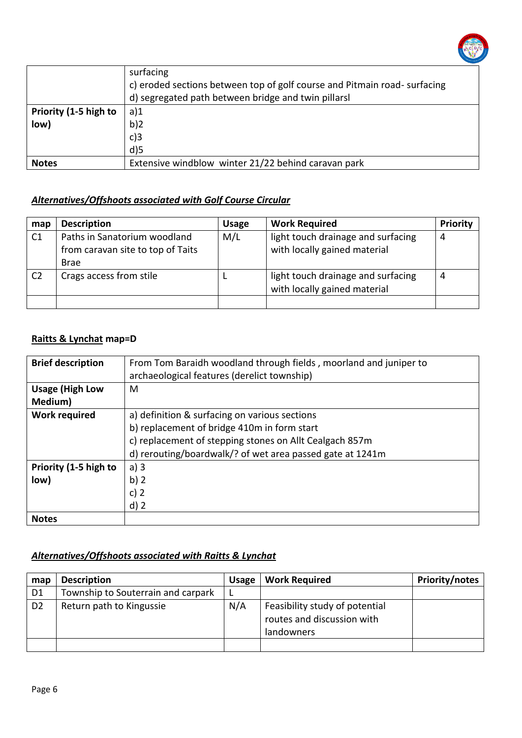

|                       | surfacing                                                                |  |  |  |
|-----------------------|--------------------------------------------------------------------------|--|--|--|
|                       | c) eroded sections between top of golf course and Pitmain road-surfacing |  |  |  |
|                       | d) segregated path between bridge and twin pillarsl                      |  |  |  |
| Priority (1-5 high to | a)1                                                                      |  |  |  |
| low)<br>b)2           |                                                                          |  |  |  |
|                       | $c$ )3                                                                   |  |  |  |
|                       | $d$ )5                                                                   |  |  |  |
| <b>Notes</b>          | Extensive windblow winter 21/22 behind caravan park                      |  |  |  |

#### *Alternatives/Offshoots associated with Golf Course Circular*

| map            | <b>Description</b>                | <b>Usage</b> | <b>Work Required</b>                                               | Priority |
|----------------|-----------------------------------|--------------|--------------------------------------------------------------------|----------|
| C <sub>1</sub> | Paths in Sanatorium woodland      | M/L          | light touch drainage and surfacing                                 | 4        |
|                | from caravan site to top of Taits |              | with locally gained material                                       |          |
|                | <b>Brae</b>                       |              |                                                                    |          |
| C <sub>2</sub> | Crags access from stile           |              | light touch drainage and surfacing<br>with locally gained material | 4        |
|                |                                   |              |                                                                    |          |

#### **Raitts & Lynchat map=D**

| <b>Brief description</b> | From Tom Baraidh woodland through fields, moorland and juniper to<br>archaeological features (derelict township) |  |  |  |
|--------------------------|------------------------------------------------------------------------------------------------------------------|--|--|--|
| <b>Usage (High Low</b>   | M                                                                                                                |  |  |  |
| Medium)                  |                                                                                                                  |  |  |  |
| <b>Work required</b>     | a) definition & surfacing on various sections                                                                    |  |  |  |
|                          | b) replacement of bridge 410m in form start                                                                      |  |  |  |
|                          | c) replacement of stepping stones on Allt Cealgach 857m                                                          |  |  |  |
|                          | d) rerouting/boardwalk/? of wet area passed gate at 1241m                                                        |  |  |  |
| Priority (1-5 high to    | a)3                                                                                                              |  |  |  |
| low)                     | b)2                                                                                                              |  |  |  |
|                          | c) $2$                                                                                                           |  |  |  |
|                          | $d$ ) 2                                                                                                          |  |  |  |
| <b>Notes</b>             |                                                                                                                  |  |  |  |

#### *Alternatives/Offshoots associated with Raitts & Lynchat*

| map            | <b>Description</b>                 | <b>Usage</b> | <b>Work Required</b>                                                       | Priority/notes |
|----------------|------------------------------------|--------------|----------------------------------------------------------------------------|----------------|
| D1             | Township to Souterrain and carpark |              |                                                                            |                |
| D <sub>2</sub> | Return path to Kingussie           | N/A          | Feasibility study of potential<br>routes and discussion with<br>landowners |                |
|                |                                    |              |                                                                            |                |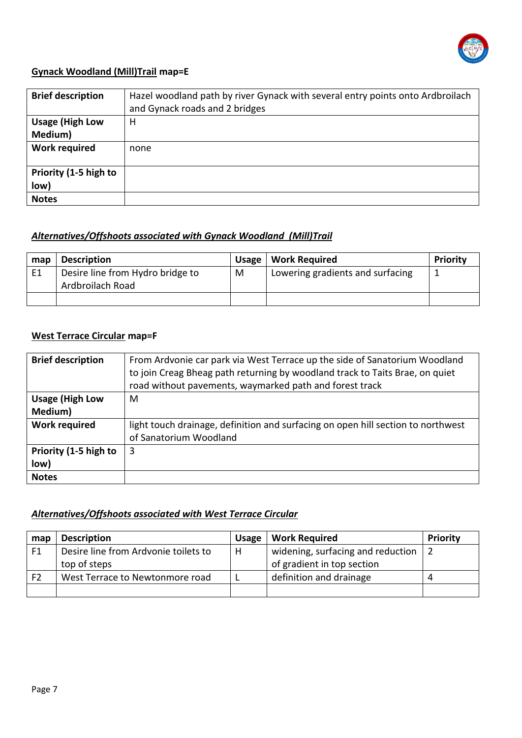

#### **Gynack Woodland (Mill)Trail map=E**

| <b>Brief description</b>          | Hazel woodland path by river Gynack with several entry points onto Ardbroilach<br>and Gynack roads and 2 bridges |
|-----------------------------------|------------------------------------------------------------------------------------------------------------------|
| <b>Usage (High Low</b><br>Medium) | н                                                                                                                |
| <b>Work required</b>              | none                                                                                                             |
| Priority (1-5 high to<br>low)     |                                                                                                                  |
| <b>Notes</b>                      |                                                                                                                  |

#### *Alternatives/Offshoots associated with Gynack Woodland (Mill)Trail*

| map | <b>Description</b>               | Usage | <b>Work Required</b>             | Priority |
|-----|----------------------------------|-------|----------------------------------|----------|
| E1  | Desire line from Hydro bridge to | М     | Lowering gradients and surfacing |          |
|     | Ardbroilach Road                 |       |                                  |          |
|     |                                  |       |                                  |          |

## **West Terrace Circular map=F**

| <b>Brief description</b> | From Ardvonie car park via West Terrace up the side of Sanatorium Woodland<br>to join Creag Bheag path returning by woodland track to Taits Brae, on quiet<br>road without pavements, waymarked path and forest track |
|--------------------------|-----------------------------------------------------------------------------------------------------------------------------------------------------------------------------------------------------------------------|
| <b>Usage (High Low</b>   | M                                                                                                                                                                                                                     |
| Medium)                  |                                                                                                                                                                                                                       |
| <b>Work required</b>     | light touch drainage, definition and surfacing on open hill section to northwest                                                                                                                                      |
|                          | of Sanatorium Woodland                                                                                                                                                                                                |
| Priority (1-5 high to    | 3                                                                                                                                                                                                                     |
| low)                     |                                                                                                                                                                                                                       |
| <b>Notes</b>             |                                                                                                                                                                                                                       |

#### *Alternatives/Offshoots associated with West Terrace Circular*

| map            | <b>Description</b>                   | <b>Usage</b> | <b>Work Required</b>              | Priority |
|----------------|--------------------------------------|--------------|-----------------------------------|----------|
| F1             | Desire line from Ardvonie toilets to | н            | widening, surfacing and reduction |          |
|                | top of steps                         |              | of gradient in top section        |          |
| F <sub>2</sub> | West Terrace to Newtonmore road      |              | definition and drainage           |          |
|                |                                      |              |                                   |          |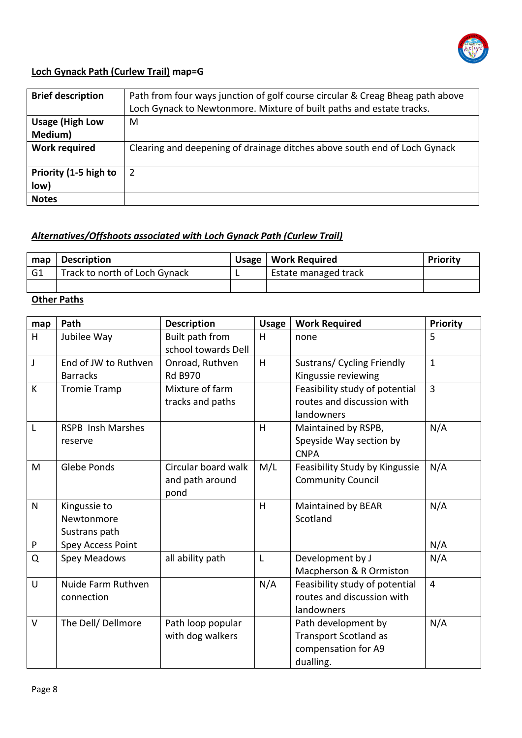

## **Loch Gynack Path (Curlew Trail) map=G**

| <b>Brief description</b>          | Path from four ways junction of golf course circular & Creag Bheag path above<br>Loch Gynack to Newtonmore. Mixture of built paths and estate tracks. |
|-----------------------------------|-------------------------------------------------------------------------------------------------------------------------------------------------------|
| <b>Usage (High Low</b><br>Medium) | M                                                                                                                                                     |
| <b>Work required</b>              | Clearing and deepening of drainage ditches above south end of Loch Gynack                                                                             |
| Priority (1-5 high to<br>low)     | 2                                                                                                                                                     |
| <b>Notes</b>                      |                                                                                                                                                       |

# *Alternatives/Offshoots associated with Loch Gynack Path (Curlew Trail)*

| map            | <b>Description</b>            | Usage   Work Required | <b>Priority</b> |
|----------------|-------------------------------|-----------------------|-----------------|
| G <sub>1</sub> | Track to north of Loch Gynack | Estate managed track  |                 |
|                |                               |                       |                 |

## **Other Paths**

| map          | Path                     | <b>Description</b>  | <b>Usage</b> | <b>Work Required</b>           | Priority       |
|--------------|--------------------------|---------------------|--------------|--------------------------------|----------------|
| H            | Jubilee Way              | Built path from     | H            | none                           | 5              |
|              |                          | school towards Dell |              |                                |                |
| J            | End of JW to Ruthven     | Onroad, Ruthven     | H            | Sustrans/ Cycling Friendly     | $\mathbf{1}$   |
|              | <b>Barracks</b>          | <b>Rd B970</b>      |              | Kingussie reviewing            |                |
| К            | <b>Tromie Tramp</b>      | Mixture of farm     |              | Feasibility study of potential | $\overline{3}$ |
|              |                          | tracks and paths    |              | routes and discussion with     |                |
|              |                          |                     |              | landowners                     |                |
| L            | <b>RSPB Insh Marshes</b> |                     | H            | Maintained by RSPB,            | N/A            |
|              | reserve                  |                     |              | Speyside Way section by        |                |
|              |                          |                     |              | <b>CNPA</b>                    |                |
| M            | Glebe Ponds              | Circular board walk | M/L          | Feasibility Study by Kingussie | N/A            |
|              |                          | and path around     |              | <b>Community Council</b>       |                |
|              |                          | pond                |              |                                |                |
| $\mathsf{N}$ | Kingussie to             |                     | H            | Maintained by BEAR             | N/A            |
|              | Newtonmore               |                     |              | Scotland                       |                |
|              | Sustrans path            |                     |              |                                |                |
| ${\sf P}$    | <b>Spey Access Point</b> |                     |              |                                | N/A            |
| Q            | <b>Spey Meadows</b>      | all ability path    | L            | Development by J               | N/A            |
|              |                          |                     |              | Macpherson & R Ormiston        |                |
| U            | Nuide Farm Ruthven       |                     | N/A          | Feasibility study of potential | $\overline{4}$ |
|              | connection               |                     |              | routes and discussion with     |                |
|              |                          |                     |              | landowners                     |                |
| $\vee$       | The Dell/ Dellmore       | Path loop popular   |              | Path development by            | N/A            |
|              |                          | with dog walkers    |              | <b>Transport Scotland as</b>   |                |
|              |                          |                     |              | compensation for A9            |                |
|              |                          |                     |              | dualling.                      |                |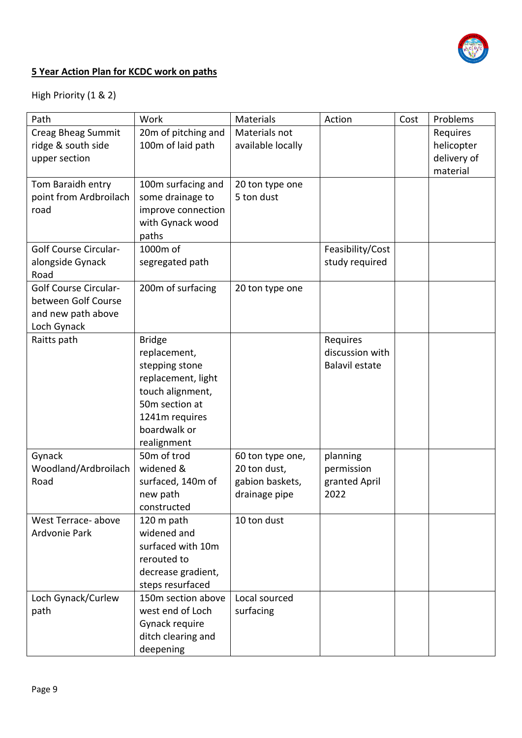

## **5 Year Action Plan for KCDC work on paths**

# High Priority (1 & 2)

| Path                         | Work                       | Materials         | Action                | Cost | Problems    |
|------------------------------|----------------------------|-------------------|-----------------------|------|-------------|
| Creag Bheag Summit           | 20m of pitching and        | Materials not     |                       |      | Requires    |
| ridge & south side           | 100m of laid path          | available locally |                       |      | helicopter  |
| upper section                |                            |                   |                       |      | delivery of |
|                              |                            |                   |                       |      | material    |
| Tom Baraidh entry            | 100m surfacing and         | 20 ton type one   |                       |      |             |
| point from Ardbroilach       | some drainage to           | 5 ton dust        |                       |      |             |
| road                         | improve connection         |                   |                       |      |             |
|                              | with Gynack wood           |                   |                       |      |             |
|                              | paths                      |                   |                       |      |             |
| <b>Golf Course Circular-</b> | 1000m of                   |                   | Feasibility/Cost      |      |             |
| alongside Gynack             | segregated path            |                   | study required        |      |             |
| Road                         |                            |                   |                       |      |             |
| <b>Golf Course Circular-</b> | 200m of surfacing          | 20 ton type one   |                       |      |             |
| between Golf Course          |                            |                   |                       |      |             |
| and new path above           |                            |                   |                       |      |             |
| Loch Gynack                  |                            |                   |                       |      |             |
| Raitts path                  | <b>Bridge</b>              |                   | Requires              |      |             |
|                              | replacement,               |                   | discussion with       |      |             |
|                              | stepping stone             |                   | <b>Balavil estate</b> |      |             |
|                              | replacement, light         |                   |                       |      |             |
|                              | touch alignment,           |                   |                       |      |             |
|                              | 50 <sub>m</sub> section at |                   |                       |      |             |
|                              | 1241m requires             |                   |                       |      |             |
|                              | boardwalk or               |                   |                       |      |             |
|                              | realignment                |                   |                       |      |             |
| Gynack                       | 50m of trod                | 60 ton type one,  | planning              |      |             |
| Woodland/Ardbroilach         | widened &                  | 20 ton dust,      | permission            |      |             |
| Road                         | surfaced, 140m of          | gabion baskets,   | granted April         |      |             |
|                              | new path                   | drainage pipe     | 2022                  |      |             |
|                              | constructed                |                   |                       |      |             |
| West Terrace-above           | 120 m path                 | 10 ton dust       |                       |      |             |
| Ardvonie Park                | widened and                |                   |                       |      |             |
|                              | surfaced with 10m          |                   |                       |      |             |
|                              | rerouted to                |                   |                       |      |             |
|                              | decrease gradient,         |                   |                       |      |             |
|                              | steps resurfaced           |                   |                       |      |             |
| Loch Gynack/Curlew           | 150m section above         | Local sourced     |                       |      |             |
| path                         | west end of Loch           | surfacing         |                       |      |             |
|                              | Gynack require             |                   |                       |      |             |
|                              | ditch clearing and         |                   |                       |      |             |
|                              |                            |                   |                       |      |             |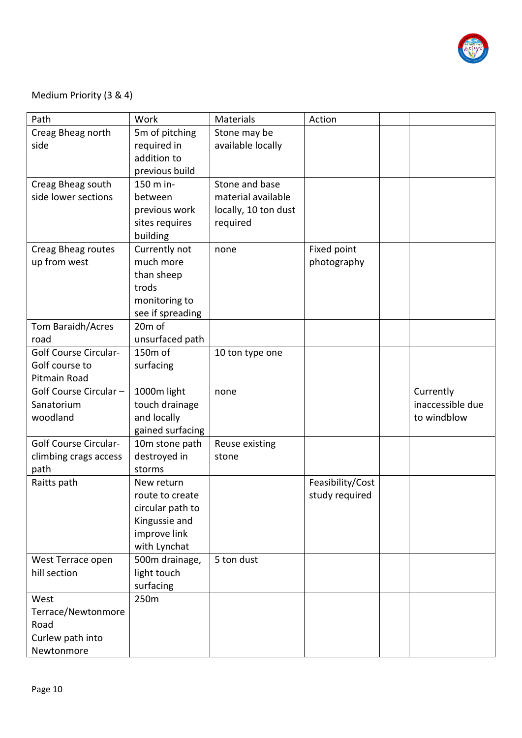

## Medium Priority (3 & 4)

| Path                         | Work                | <b>Materials</b>     | Action           |                  |
|------------------------------|---------------------|----------------------|------------------|------------------|
| Creag Bheag north            | 5m of pitching      | Stone may be         |                  |                  |
| side                         | required in         | available locally    |                  |                  |
|                              | addition to         |                      |                  |                  |
|                              | previous build      |                      |                  |                  |
| Creag Bheag south            | 150 m in-           | Stone and base       |                  |                  |
| side lower sections          | between             | material available   |                  |                  |
|                              | previous work       | locally, 10 ton dust |                  |                  |
|                              | sites requires      | required             |                  |                  |
|                              | building            |                      |                  |                  |
| Creag Bheag routes           | Currently not       | none                 | Fixed point      |                  |
| up from west                 | much more           |                      | photography      |                  |
|                              | than sheep          |                      |                  |                  |
|                              | trods               |                      |                  |                  |
|                              | monitoring to       |                      |                  |                  |
|                              | see if spreading    |                      |                  |                  |
| Tom Baraidh/Acres            | 20 <sub>m</sub> of  |                      |                  |                  |
| road                         | unsurfaced path     |                      |                  |                  |
| <b>Golf Course Circular-</b> | 150 <sub>m</sub> of | 10 ton type one      |                  |                  |
| Golf course to               | surfacing           |                      |                  |                  |
| Pitmain Road                 |                     |                      |                  |                  |
|                              |                     |                      |                  |                  |
| Golf Course Circular -       | 1000m light         | none                 |                  | Currently        |
| Sanatorium                   | touch drainage      |                      |                  | inaccessible due |
| woodland                     | and locally         |                      |                  | to windblow      |
|                              | gained surfacing    |                      |                  |                  |
| <b>Golf Course Circular-</b> | 10m stone path      | Reuse existing       |                  |                  |
| climbing crags access        | destroyed in        | stone                |                  |                  |
| path                         | storms              |                      |                  |                  |
| Raitts path                  | New return          |                      | Feasibility/Cost |                  |
|                              | route to create     |                      | study required   |                  |
|                              | circular path to    |                      |                  |                  |
|                              | Kingussie and       |                      |                  |                  |
|                              | improve link        |                      |                  |                  |
|                              | with Lynchat        |                      |                  |                  |
| West Terrace open            | 500m drainage,      | 5 ton dust           |                  |                  |
| hill section                 | light touch         |                      |                  |                  |
|                              | surfacing           |                      |                  |                  |
| West                         | 250m                |                      |                  |                  |
| Terrace/Newtonmore           |                     |                      |                  |                  |
| Road                         |                     |                      |                  |                  |
| Curlew path into             |                     |                      |                  |                  |